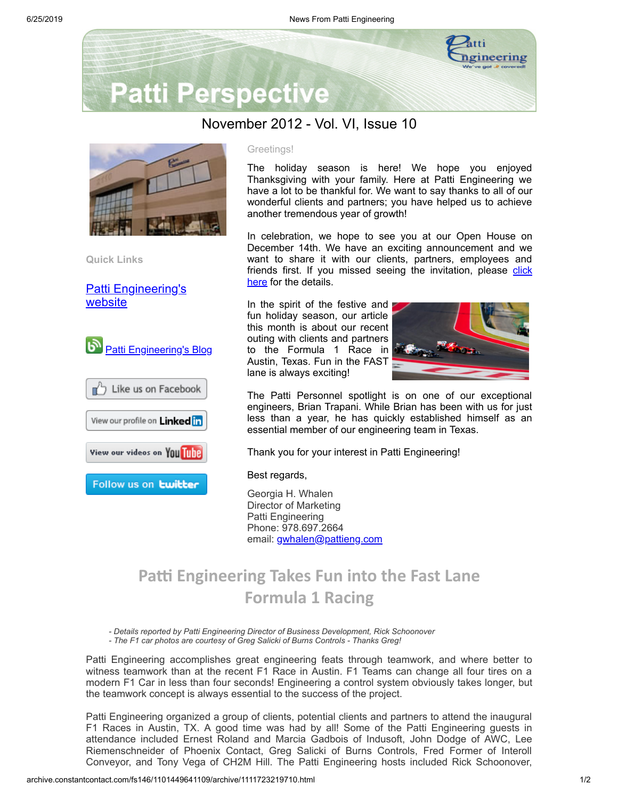

# **Patti Perspective**

### November 2012 - Vol. VI, Issue 10



**Quick Links**

[Patti Engineering's](http://www.pattieng.com/?utm_source=Patti+Perspective+11_2012&utm_campaign=Patti+Perspective+11_12_update&utm_medium=archive) website



#### Greetings!

The holiday season is here! We hope you enjoyed Thanksgiving with your family. Here at Patti Engineering we have a lot to be thankful for. We want to say thanks to all of our wonderful clients and partners; you have helped us to achieve another tremendous year of growth!

In celebration, we hope to see you at our Open House on December 14th. We have an exciting announcement and we want to share it with our clients, partners, employees and friends first. If you missed seeing the [invitation,](http://archive.constantcontact.com/fs146/1101449641109/archive/1111673231113.html) please click here for the details.

In the spirit of the festive and fun holiday season, our article this month is about our recent outing with clients and partners to the Formula 1 Race in Austin, Texas. Fun in the FAST lane is always exciting!



The Patti Personnel spotlight is on one of our exceptional engineers, Brian Trapani. While Brian has been with us for just less than a year, he has quickly established himself as an essential member of our engineering team in Texas.

Thank you for your interest in Patti Engineering!

Best regards,

Georgia H. Whalen Director of Marketing Patti Engineering Phone: 978.697.2664 email: [gwhalen@pattieng.com](mailto:gwhalen@pattieng.com)

### **Patti Engineering Takes Fun into the Fast Lane Formula 1 Racing**

*- Details reported by Patti Engineering Director of Business Development, Rick Schoonover*

*- The F1 car photos are courtesy of Greg Salicki of Burns Controls - Thanks Greg!*

Patti Engineering accomplishes great engineering feats through teamwork, and where better to witness teamwork than at the recent F1 Race in Austin. F1 Teams can change all four tires on a modern F1 Car in less than four seconds! Engineering a control system obviously takes longer, but the teamwork concept is always essential to the success of the project.

Patti Engineering organized a group of clients, potential clients and partners to attend the inaugural F1 Races in Austin, TX. A good time was had by all! Some of the Patti Engineering guests in attendance included Ernest Roland and Marcia Gadbois of Indusoft, John Dodge of AWC, Lee Riemenschneider of Phoenix Contact, Greg Salicki of Burns Controls, Fred Former of Interoll Conveyor, and Tony Vega of CH2M Hill. The Patti Engineering hosts included Rick Schoonover,